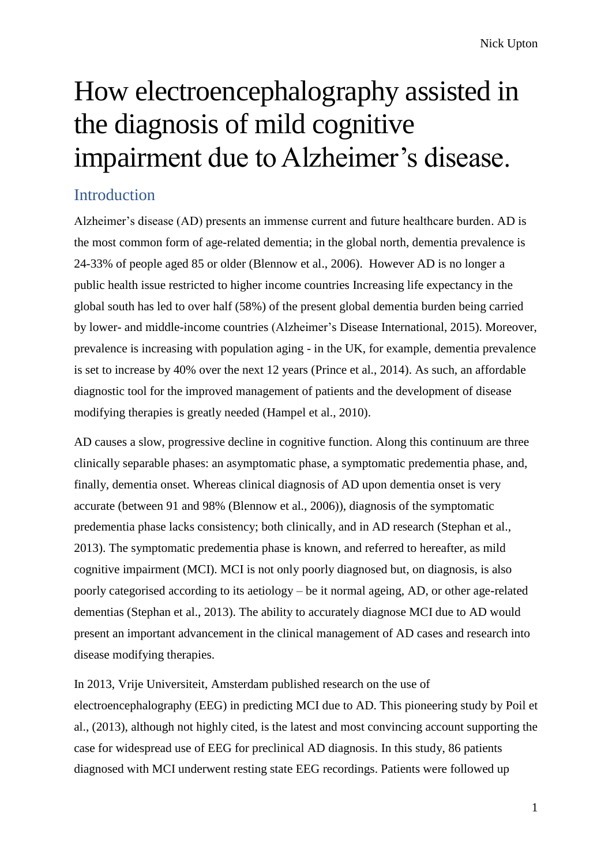# How electroencephalography assisted in the diagnosis of mild cognitive impairment due to Alzheimer's disease.

# Introduction

Alzheimer's disease (AD) presents an immense current and future healthcare burden. AD is the most common form of age-related dementia; in the global north, dementia prevalence is 24-33% of people aged 85 or older (Blennow et al., 2006). However AD is no longer a public health issue restricted to higher income countries Increasing life expectancy in the global south has led to over half (58%) of the present global dementia burden being carried by lower- and middle-income countries (Alzheimer's Disease International, 2015). Moreover, prevalence is increasing with population aging - in the UK, for example, dementia prevalence is set to increase by 40% over the next 12 years (Prince et al., 2014). As such, an affordable diagnostic tool for the improved management of patients and the development of disease modifying therapies is greatly needed (Hampel et al., 2010).

AD causes a slow, progressive decline in cognitive function. Along this continuum are three clinically separable phases: an asymptomatic phase, a symptomatic predementia phase, and, finally, dementia onset. Whereas clinical diagnosis of AD upon dementia onset is very accurate (between 91 and 98% (Blennow et al., 2006)), diagnosis of the symptomatic predementia phase lacks consistency; both clinically, and in AD research (Stephan et al., 2013). The symptomatic predementia phase is known, and referred to hereafter, as mild cognitive impairment (MCI). MCI is not only poorly diagnosed but, on diagnosis, is also poorly categorised according to its aetiology – be it normal ageing, AD, or other age-related dementias (Stephan et al., 2013). The ability to accurately diagnose MCI due to AD would present an important advancement in the clinical management of AD cases and research into disease modifying therapies.

In 2013, Vrije Universiteit, Amsterdam published research on the use of electroencephalography (EEG) in predicting MCI due to AD. This pioneering study by Poil et al., (2013), although not highly cited, is the latest and most convincing account supporting the case for widespread use of EEG for preclinical AD diagnosis. In this study, 86 patients diagnosed with MCI underwent resting state EEG recordings. Patients were followed up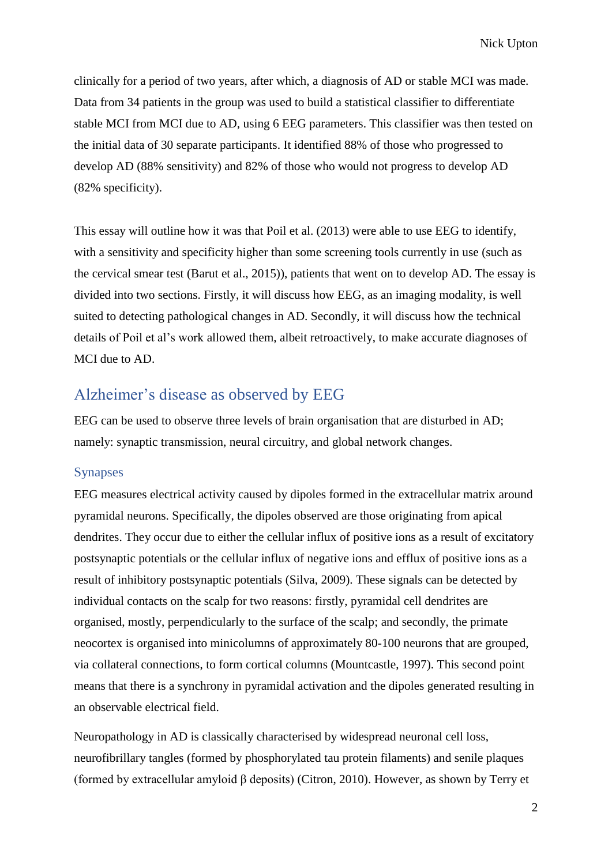clinically for a period of two years, after which, a diagnosis of AD or stable MCI was made. Data from 34 patients in the group was used to build a statistical classifier to differentiate stable MCI from MCI due to AD, using 6 EEG parameters. This classifier was then tested on the initial data of 30 separate participants. It identified 88% of those who progressed to develop AD (88% sensitivity) and 82% of those who would not progress to develop AD (82% specificity).

This essay will outline how it was that Poil et al. (2013) were able to use EEG to identify, with a sensitivity and specificity higher than some screening tools currently in use (such as the cervical smear test (Barut et al., 2015)), patients that went on to develop AD. The essay is divided into two sections. Firstly, it will discuss how EEG, as an imaging modality, is well suited to detecting pathological changes in AD. Secondly, it will discuss how the technical details of Poil et al's work allowed them, albeit retroactively, to make accurate diagnoses of MCI due to AD.

## Alzheimer's disease as observed by EEG

EEG can be used to observe three levels of brain organisation that are disturbed in AD; namely: synaptic transmission, neural circuitry, and global network changes.

#### Synapses

EEG measures electrical activity caused by dipoles formed in the extracellular matrix around pyramidal neurons. Specifically, the dipoles observed are those originating from apical dendrites. They occur due to either the cellular influx of positive ions as a result of excitatory postsynaptic potentials or the cellular influx of negative ions and efflux of positive ions as a result of inhibitory postsynaptic potentials (Silva, 2009). These signals can be detected by individual contacts on the scalp for two reasons: firstly, pyramidal cell dendrites are organised, mostly, perpendicularly to the surface of the scalp; and secondly, the primate neocortex is organised into minicolumns of approximately 80-100 neurons that are grouped, via collateral connections, to form cortical columns (Mountcastle, 1997). This second point means that there is a synchrony in pyramidal activation and the dipoles generated resulting in an observable electrical field.

Neuropathology in AD is classically characterised by widespread neuronal cell loss, neurofibrillary tangles (formed by phosphorylated tau protein filaments) and senile plaques (formed by extracellular amyloid β deposits) (Citron, 2010). However, as shown by Terry et

2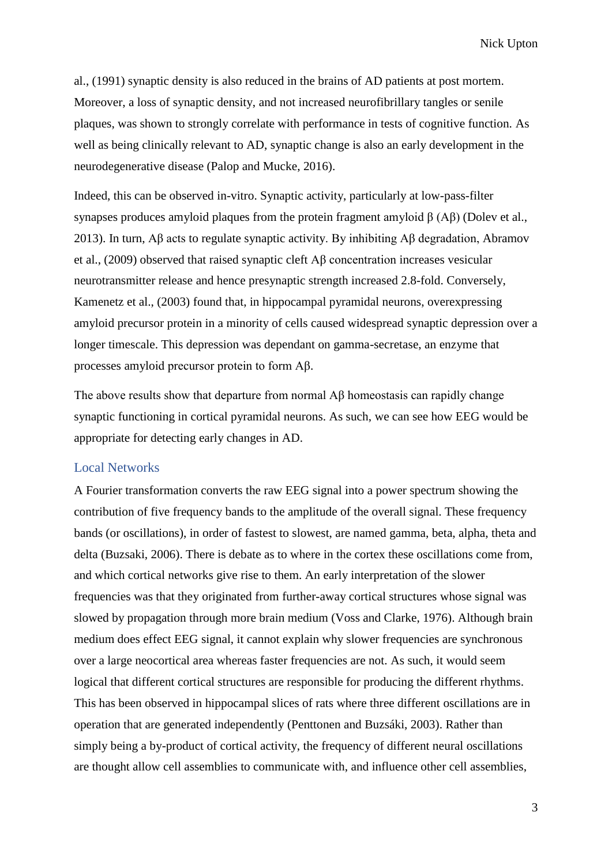al., (1991) synaptic density is also reduced in the brains of AD patients at post mortem. Moreover, a loss of synaptic density, and not increased neurofibrillary tangles or senile plaques, was shown to strongly correlate with performance in tests of cognitive function. As well as being clinically relevant to AD, synaptic change is also an early development in the neurodegenerative disease (Palop and Mucke, 2016).

Indeed, this can be observed in-vitro. Synaptic activity, particularly at low-pass-filter synapses produces amyloid plaques from the protein fragment amyloid  $β$  (A $β$ ) (Dolev et al., 2013). In turn, Aβ acts to regulate synaptic activity. By inhibiting Aβ degradation, Abramov et al., (2009) observed that raised synaptic cleft Aβ concentration increases vesicular neurotransmitter release and hence presynaptic strength increased 2.8-fold. Conversely, Kamenetz et al., (2003) found that, in hippocampal pyramidal neurons, overexpressing amyloid precursor protein in a minority of cells caused widespread synaptic depression over a longer timescale. This depression was dependant on gamma-secretase, an enzyme that processes amyloid precursor protein to form Aβ.

The above results show that departure from normal Aβ homeostasis can rapidly change synaptic functioning in cortical pyramidal neurons. As such, we can see how EEG would be appropriate for detecting early changes in AD.

#### Local Networks

A Fourier transformation converts the raw EEG signal into a power spectrum showing the contribution of five frequency bands to the amplitude of the overall signal. These frequency bands (or oscillations), in order of fastest to slowest, are named gamma, beta, alpha, theta and delta (Buzsaki, 2006). There is debate as to where in the cortex these oscillations come from, and which cortical networks give rise to them. An early interpretation of the slower frequencies was that they originated from further-away cortical structures whose signal was slowed by propagation through more brain medium (Voss and Clarke, 1976). Although brain medium does effect EEG signal, it cannot explain why slower frequencies are synchronous over a large neocortical area whereas faster frequencies are not. As such, it would seem logical that different cortical structures are responsible for producing the different rhythms. This has been observed in hippocampal slices of rats where three different oscillations are in operation that are generated independently (Penttonen and Buzsáki, 2003). Rather than simply being a by-product of cortical activity, the frequency of different neural oscillations are thought allow cell assemblies to communicate with, and influence other cell assemblies,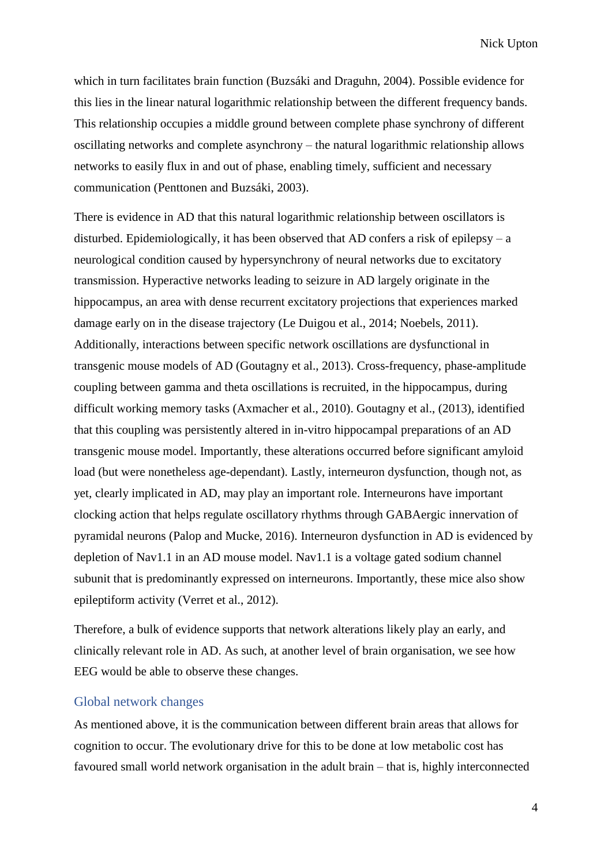which in turn facilitates brain function (Buzsáki and Draguhn, 2004). Possible evidence for this lies in the linear natural logarithmic relationship between the different frequency bands. This relationship occupies a middle ground between complete phase synchrony of different oscillating networks and complete asynchrony – the natural logarithmic relationship allows networks to easily flux in and out of phase, enabling timely, sufficient and necessary communication (Penttonen and Buzsáki, 2003).

There is evidence in AD that this natural logarithmic relationship between oscillators is disturbed. Epidemiologically, it has been observed that AD confers a risk of epilepsy – a neurological condition caused by hypersynchrony of neural networks due to excitatory transmission. Hyperactive networks leading to seizure in AD largely originate in the hippocampus, an area with dense recurrent excitatory projections that experiences marked damage early on in the disease trajectory (Le Duigou et al., 2014; Noebels, 2011). Additionally, interactions between specific network oscillations are dysfunctional in transgenic mouse models of AD (Goutagny et al., 2013). Cross-frequency, phase-amplitude coupling between gamma and theta oscillations is recruited, in the hippocampus, during difficult working memory tasks (Axmacher et al., 2010). Goutagny et al., (2013), identified that this coupling was persistently altered in in-vitro hippocampal preparations of an AD transgenic mouse model. Importantly, these alterations occurred before significant amyloid load (but were nonetheless age-dependant). Lastly, interneuron dysfunction, though not, as yet, clearly implicated in AD, may play an important role. Interneurons have important clocking action that helps regulate oscillatory rhythms through GABAergic innervation of pyramidal neurons (Palop and Mucke, 2016). Interneuron dysfunction in AD is evidenced by depletion of Nav1.1 in an AD mouse model. Nav1.1 is a voltage gated sodium channel subunit that is predominantly expressed on interneurons. Importantly, these mice also show epileptiform activity (Verret et al., 2012).

Therefore, a bulk of evidence supports that network alterations likely play an early, and clinically relevant role in AD. As such, at another level of brain organisation, we see how EEG would be able to observe these changes.

### Global network changes

As mentioned above, it is the communication between different brain areas that allows for cognition to occur. The evolutionary drive for this to be done at low metabolic cost has favoured small world network organisation in the adult brain – that is, highly interconnected

4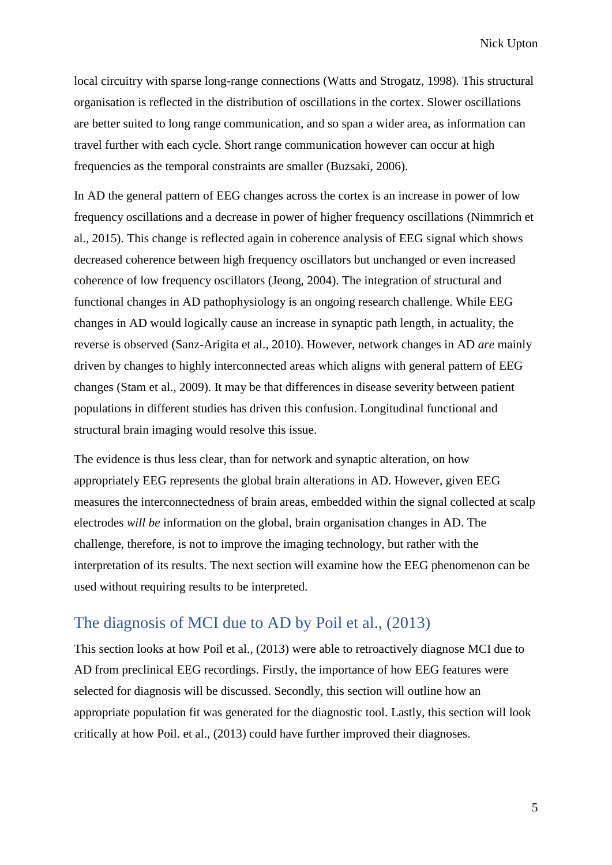local circuitry with sparse long-range connections (Watts and Strogatz, 1998). This structural organisation is reflected in the distribution of oscillations in the cortex. Slower oscillations are better suited to long range communication, and so span a wider area, as information can travel further with each cycle. Short range communication however can occur at high frequencies as the temporal constraints are smaller (Buzsaki, 2006).

In AD the general pattern of EEG changes across the cortex is an increase in power of low frequency oscillations and a decrease in power of higher frequency oscillations (Nimmrich et al., 2015). This change is reflected again in coherence analysis of EEG signal which shows decreased coherence between high frequency oscillators but unchanged or even increased coherence of low frequency oscillators (Jeong, 2004). The integration of structural and functional changes in AD pathophysiology is an ongoing research challenge. While EEG changes in AD would logically cause an increase in synaptic path length, in actuality, the reverse is observed (Sanz-Arigita et al., 2010). However, network changes in AD *are* mainly driven by changes to highly interconnected areas which aligns with general pattern of EEG changes (Stam et al., 2009). It may be that differences in disease severity between patient populations in different studies has driven this confusion. Longitudinal functional and structural brain imaging would resolve this issue.

The evidence is thus less clear, than for network and synaptic alteration, on how appropriately EEG represents the global brain alterations in AD. However, given EEG measures the interconnectedness of brain areas, embedded within the signal collected at scalp electrodes *will be* information on the global, brain organisation changes in AD. The challenge, therefore, is not to improve the imaging technology, but rather with the interpretation of its results. The next section will examine how the EEG phenomenon can be used without requiring results to be interpreted.

## The diagnosis of MCI due to AD by Poil et al., (2013)

This section looks at how Poil et al., (2013) were able to retroactively diagnose MCI due to AD from preclinical EEG recordings. Firstly, the importance of how EEG features were selected for diagnosis will be discussed. Secondly, this section will outline how an appropriate population fit was generated for the diagnostic tool. Lastly, this section will look critically at how Poil. et al., (2013) could have further improved their diagnoses.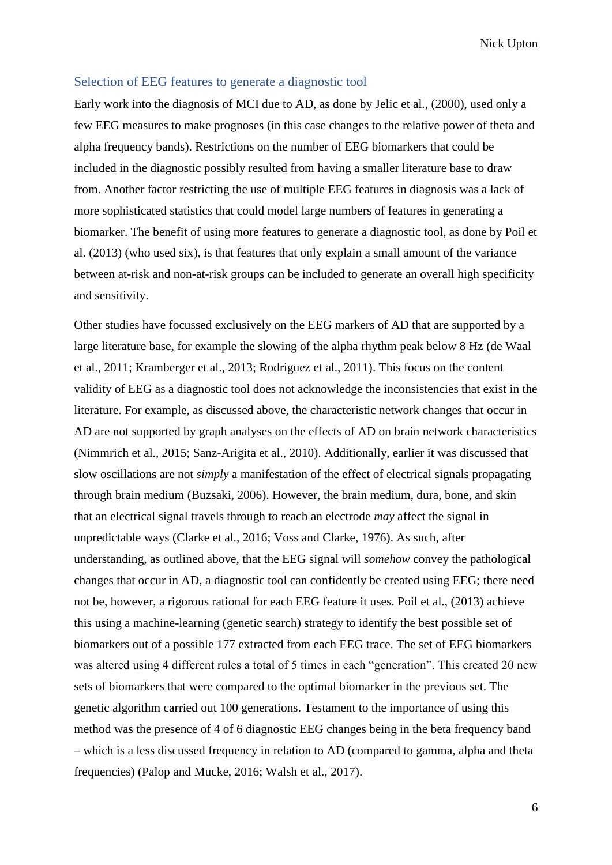#### Selection of EEG features to generate a diagnostic tool

Early work into the diagnosis of MCI due to AD, as done by Jelic et al., (2000), used only a few EEG measures to make prognoses (in this case changes to the relative power of theta and alpha frequency bands). Restrictions on the number of EEG biomarkers that could be included in the diagnostic possibly resulted from having a smaller literature base to draw from. Another factor restricting the use of multiple EEG features in diagnosis was a lack of more sophisticated statistics that could model large numbers of features in generating a biomarker. The benefit of using more features to generate a diagnostic tool, as done by Poil et al. (2013) (who used six), is that features that only explain a small amount of the variance between at-risk and non-at-risk groups can be included to generate an overall high specificity and sensitivity.

Other studies have focussed exclusively on the EEG markers of AD that are supported by a large literature base, for example the slowing of the alpha rhythm peak below 8 Hz (de Waal et al., 2011; Kramberger et al., 2013; Rodriguez et al., 2011). This focus on the content validity of EEG as a diagnostic tool does not acknowledge the inconsistencies that exist in the literature. For example, as discussed above, the characteristic network changes that occur in AD are not supported by graph analyses on the effects of AD on brain network characteristics (Nimmrich et al., 2015; Sanz-Arigita et al., 2010). Additionally, earlier it was discussed that slow oscillations are not *simply* a manifestation of the effect of electrical signals propagating through brain medium (Buzsaki, 2006). However, the brain medium, dura, bone, and skin that an electrical signal travels through to reach an electrode *may* affect the signal in unpredictable ways (Clarke et al., 2016; Voss and Clarke, 1976). As such, after understanding, as outlined above, that the EEG signal will *somehow* convey the pathological changes that occur in AD, a diagnostic tool can confidently be created using EEG; there need not be, however, a rigorous rational for each EEG feature it uses. Poil et al., (2013) achieve this using a machine-learning (genetic search) strategy to identify the best possible set of biomarkers out of a possible 177 extracted from each EEG trace. The set of EEG biomarkers was altered using 4 different rules a total of 5 times in each "generation". This created 20 new sets of biomarkers that were compared to the optimal biomarker in the previous set. The genetic algorithm carried out 100 generations. Testament to the importance of using this method was the presence of 4 of 6 diagnostic EEG changes being in the beta frequency band – which is a less discussed frequency in relation to AD (compared to gamma, alpha and theta frequencies) (Palop and Mucke, 2016; Walsh et al., 2017).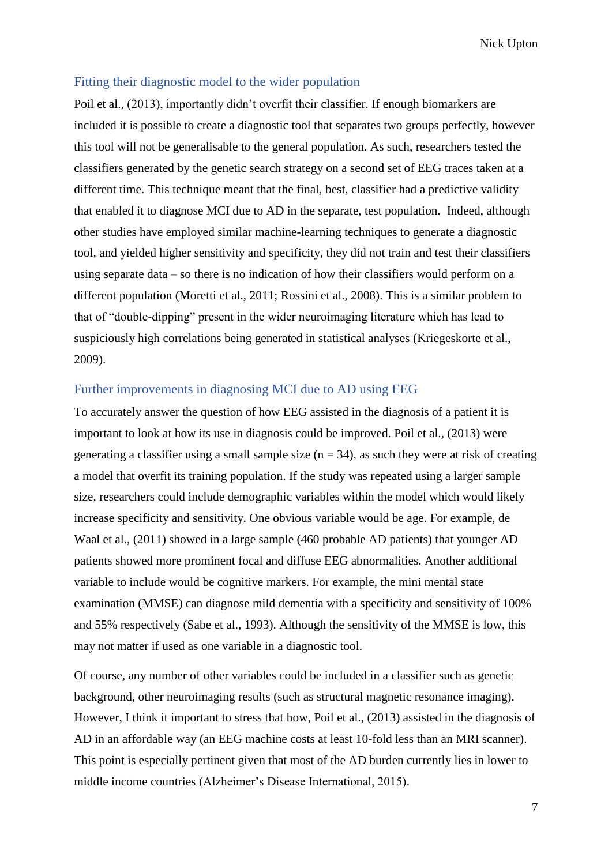#### Fitting their diagnostic model to the wider population

Poil et al., (2013), importantly didn't overfit their classifier. If enough biomarkers are included it is possible to create a diagnostic tool that separates two groups perfectly, however this tool will not be generalisable to the general population. As such, researchers tested the classifiers generated by the genetic search strategy on a second set of EEG traces taken at a different time. This technique meant that the final, best, classifier had a predictive validity that enabled it to diagnose MCI due to AD in the separate, test population. Indeed, although other studies have employed similar machine-learning techniques to generate a diagnostic tool, and yielded higher sensitivity and specificity, they did not train and test their classifiers using separate data – so there is no indication of how their classifiers would perform on a different population (Moretti et al., 2011; Rossini et al., 2008). This is a similar problem to that of "double-dipping" present in the wider neuroimaging literature which has lead to suspiciously high correlations being generated in statistical analyses (Kriegeskorte et al., 2009).

### Further improvements in diagnosing MCI due to AD using EEG

To accurately answer the question of how EEG assisted in the diagnosis of a patient it is important to look at how its use in diagnosis could be improved. Poil et al., (2013) were generating a classifier using a small sample size  $(n = 34)$ , as such they were at risk of creating a model that overfit its training population. If the study was repeated using a larger sample size, researchers could include demographic variables within the model which would likely increase specificity and sensitivity. One obvious variable would be age. For example, de Waal et al., (2011) showed in a large sample (460 probable AD patients) that younger AD patients showed more prominent focal and diffuse EEG abnormalities. Another additional variable to include would be cognitive markers. For example, the mini mental state examination (MMSE) can diagnose mild dementia with a specificity and sensitivity of 100% and 55% respectively (Sabe et al., 1993). Although the sensitivity of the MMSE is low, this may not matter if used as one variable in a diagnostic tool.

Of course, any number of other variables could be included in a classifier such as genetic background, other neuroimaging results (such as structural magnetic resonance imaging). However, I think it important to stress that how, Poil et al., (2013) assisted in the diagnosis of AD in an affordable way (an EEG machine costs at least 10-fold less than an MRI scanner). This point is especially pertinent given that most of the AD burden currently lies in lower to middle income countries (Alzheimer's Disease International, 2015).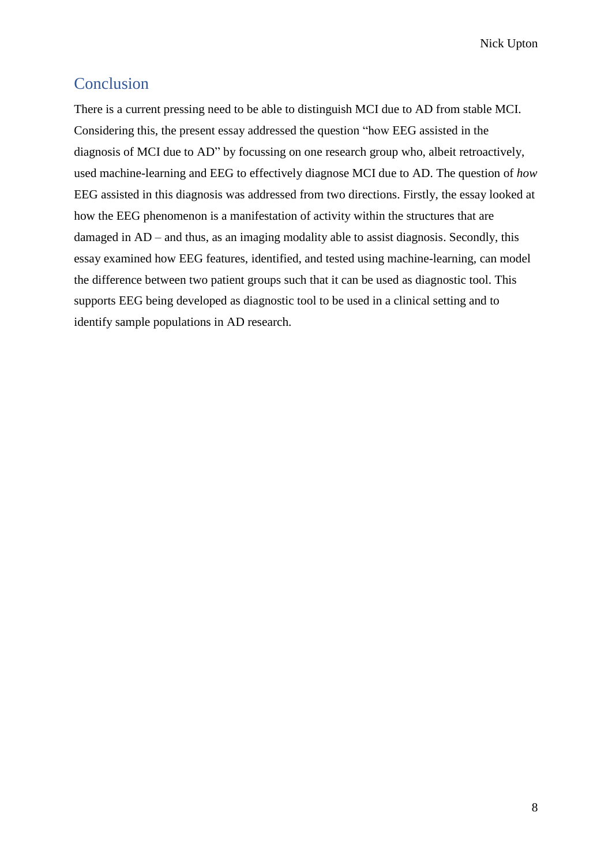# Conclusion

There is a current pressing need to be able to distinguish MCI due to AD from stable MCI. Considering this, the present essay addressed the question "how EEG assisted in the diagnosis of MCI due to AD" by focussing on one research group who, albeit retroactively, used machine-learning and EEG to effectively diagnose MCI due to AD. The question of *how* EEG assisted in this diagnosis was addressed from two directions. Firstly, the essay looked at how the EEG phenomenon is a manifestation of activity within the structures that are damaged in AD – and thus, as an imaging modality able to assist diagnosis. Secondly, this essay examined how EEG features, identified, and tested using machine-learning, can model the difference between two patient groups such that it can be used as diagnostic tool. This supports EEG being developed as diagnostic tool to be used in a clinical setting and to identify sample populations in AD research.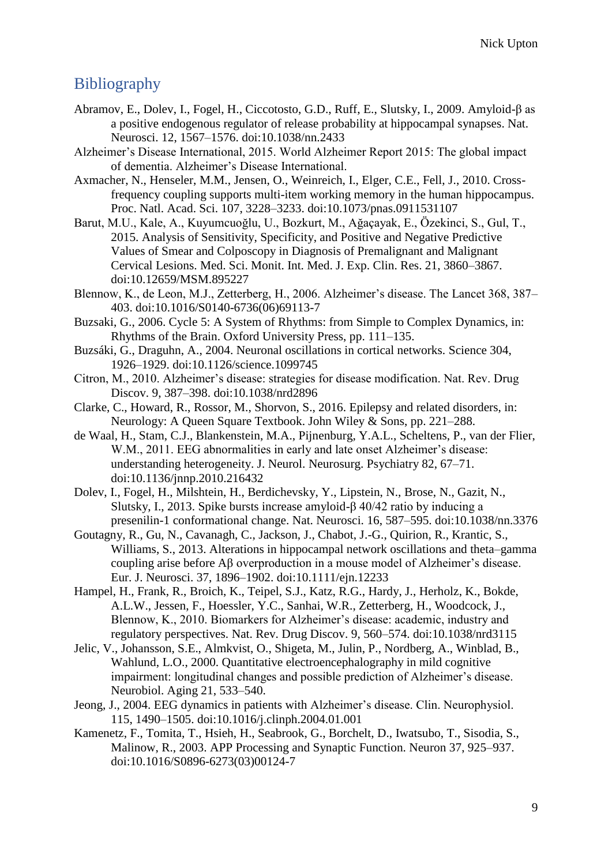# Bibliography

- Abramov, E., Dolev, I., Fogel, H., Ciccotosto, G.D., Ruff, E., Slutsky, I., 2009. Amyloid-β as a positive endogenous regulator of release probability at hippocampal synapses. Nat. Neurosci. 12, 1567–1576. doi:10.1038/nn.2433
- Alzheimer's Disease International, 2015. World Alzheimer Report 2015: The global impact of dementia. Alzheimer's Disease International.
- Axmacher, N., Henseler, M.M., Jensen, O., Weinreich, I., Elger, C.E., Fell, J., 2010. Crossfrequency coupling supports multi-item working memory in the human hippocampus. Proc. Natl. Acad. Sci. 107, 3228–3233. doi:10.1073/pnas.0911531107
- Barut, M.U., Kale, A., Kuyumcuoğlu, U., Bozkurt, M., Ağaçayak, E., Özekinci, S., Gul, T., 2015. Analysis of Sensitivity, Specificity, and Positive and Negative Predictive Values of Smear and Colposcopy in Diagnosis of Premalignant and Malignant Cervical Lesions. Med. Sci. Monit. Int. Med. J. Exp. Clin. Res. 21, 3860–3867. doi:10.12659/MSM.895227
- Blennow, K., de Leon, M.J., Zetterberg, H., 2006. Alzheimer's disease. The Lancet 368, 387– 403. doi:10.1016/S0140-6736(06)69113-7
- Buzsaki, G., 2006. Cycle 5: A System of Rhythms: from Simple to Complex Dynamics, in: Rhythms of the Brain. Oxford University Press, pp. 111–135.
- Buzsáki, G., Draguhn, A., 2004. Neuronal oscillations in cortical networks. Science 304, 1926–1929. doi:10.1126/science.1099745
- Citron, M., 2010. Alzheimer's disease: strategies for disease modification. Nat. Rev. Drug Discov. 9, 387–398. doi:10.1038/nrd2896
- Clarke, C., Howard, R., Rossor, M., Shorvon, S., 2016. Epilepsy and related disorders, in: Neurology: A Queen Square Textbook. John Wiley & Sons, pp. 221–288.
- de Waal, H., Stam, C.J., Blankenstein, M.A., Pijnenburg, Y.A.L., Scheltens, P., van der Flier, W.M., 2011. EEG abnormalities in early and late onset Alzheimer's disease: understanding heterogeneity. J. Neurol. Neurosurg. Psychiatry 82, 67–71. doi:10.1136/jnnp.2010.216432
- Dolev, I., Fogel, H., Milshtein, H., Berdichevsky, Y., Lipstein, N., Brose, N., Gazit, N., Slutsky, I., 2013. Spike bursts increase amyloid-β 40/42 ratio by inducing a presenilin-1 conformational change. Nat. Neurosci. 16, 587–595. doi:10.1038/nn.3376
- Goutagny, R., Gu, N., Cavanagh, C., Jackson, J., Chabot, J.-G., Quirion, R., Krantic, S., Williams, S., 2013. Alterations in hippocampal network oscillations and theta–gamma coupling arise before Aβ overproduction in a mouse model of Alzheimer's disease. Eur. J. Neurosci. 37, 1896–1902. doi:10.1111/ejn.12233
- Hampel, H., Frank, R., Broich, K., Teipel, S.J., Katz, R.G., Hardy, J., Herholz, K., Bokde, A.L.W., Jessen, F., Hoessler, Y.C., Sanhai, W.R., Zetterberg, H., Woodcock, J., Blennow, K., 2010. Biomarkers for Alzheimer's disease: academic, industry and regulatory perspectives. Nat. Rev. Drug Discov. 9, 560–574. doi:10.1038/nrd3115
- Jelic, V., Johansson, S.E., Almkvist, O., Shigeta, M., Julin, P., Nordberg, A., Winblad, B., Wahlund, L.O., 2000. Quantitative electroencephalography in mild cognitive impairment: longitudinal changes and possible prediction of Alzheimer's disease. Neurobiol. Aging 21, 533–540.
- Jeong, J., 2004. EEG dynamics in patients with Alzheimer's disease. Clin. Neurophysiol. 115, 1490–1505. doi:10.1016/j.clinph.2004.01.001
- Kamenetz, F., Tomita, T., Hsieh, H., Seabrook, G., Borchelt, D., Iwatsubo, T., Sisodia, S., Malinow, R., 2003. APP Processing and Synaptic Function. Neuron 37, 925–937. doi:10.1016/S0896-6273(03)00124-7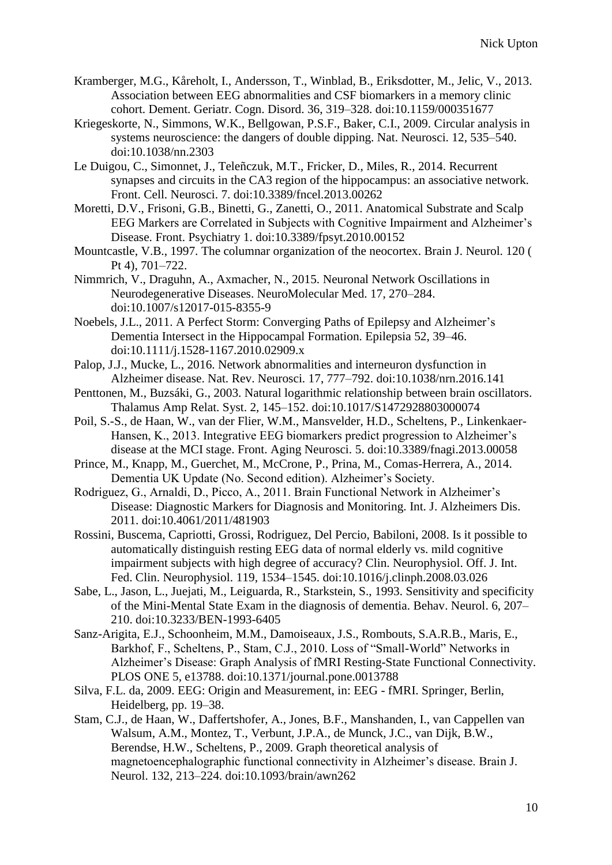- Kramberger, M.G., Kåreholt, I., Andersson, T., Winblad, B., Eriksdotter, M., Jelic, V., 2013. Association between EEG abnormalities and CSF biomarkers in a memory clinic cohort. Dement. Geriatr. Cogn. Disord. 36, 319–328. doi:10.1159/000351677
- Kriegeskorte, N., Simmons, W.K., Bellgowan, P.S.F., Baker, C.I., 2009. Circular analysis in systems neuroscience: the dangers of double dipping. Nat. Neurosci. 12, 535–540. doi:10.1038/nn.2303
- Le Duigou, C., Simonnet, J., Teleñczuk, M.T., Fricker, D., Miles, R., 2014. Recurrent synapses and circuits in the CA3 region of the hippocampus: an associative network. Front. Cell. Neurosci. 7. doi:10.3389/fncel.2013.00262
- Moretti, D.V., Frisoni, G.B., Binetti, G., Zanetti, O., 2011. Anatomical Substrate and Scalp EEG Markers are Correlated in Subjects with Cognitive Impairment and Alzheimer's Disease. Front. Psychiatry 1. doi:10.3389/fpsyt.2010.00152
- Mountcastle, V.B., 1997. The columnar organization of the neocortex. Brain J. Neurol. 120 ( Pt 4), 701–722.
- Nimmrich, V., Draguhn, A., Axmacher, N., 2015. Neuronal Network Oscillations in Neurodegenerative Diseases. NeuroMolecular Med. 17, 270–284. doi:10.1007/s12017-015-8355-9
- Noebels, J.L., 2011. A Perfect Storm: Converging Paths of Epilepsy and Alzheimer's Dementia Intersect in the Hippocampal Formation. Epilepsia 52, 39–46. doi:10.1111/j.1528-1167.2010.02909.x
- Palop, J.J., Mucke, L., 2016. Network abnormalities and interneuron dysfunction in Alzheimer disease. Nat. Rev. Neurosci. 17, 777–792. doi:10.1038/nrn.2016.141
- Penttonen, M., Buzsáki, G., 2003. Natural logarithmic relationship between brain oscillators. Thalamus Amp Relat. Syst. 2, 145–152. doi:10.1017/S1472928803000074
- Poil, S.-S., de Haan, W., van der Flier, W.M., Mansvelder, H.D., Scheltens, P., Linkenkaer-Hansen, K., 2013. Integrative EEG biomarkers predict progression to Alzheimer's disease at the MCI stage. Front. Aging Neurosci. 5. doi:10.3389/fnagi.2013.00058
- Prince, M., Knapp, M., Guerchet, M., McCrone, P., Prina, M., Comas-Herrera, A., 2014. Dementia UK Update (No. Second edition). Alzheimer's Society.
- Rodriguez, G., Arnaldi, D., Picco, A., 2011. Brain Functional Network in Alzheimer's Disease: Diagnostic Markers for Diagnosis and Monitoring. Int. J. Alzheimers Dis. 2011. doi:10.4061/2011/481903
- Rossini, Buscema, Capriotti, Grossi, Rodriguez, Del Percio, Babiloni, 2008. Is it possible to automatically distinguish resting EEG data of normal elderly vs. mild cognitive impairment subjects with high degree of accuracy? Clin. Neurophysiol. Off. J. Int. Fed. Clin. Neurophysiol. 119, 1534–1545. doi:10.1016/j.clinph.2008.03.026
- Sabe, L., Jason, L., Juejati, M., Leiguarda, R., Starkstein, S., 1993. Sensitivity and specificity of the Mini-Mental State Exam in the diagnosis of dementia. Behav. Neurol. 6, 207– 210. doi:10.3233/BEN-1993-6405
- Sanz-Arigita, E.J., Schoonheim, M.M., Damoiseaux, J.S., Rombouts, S.A.R.B., Maris, E., Barkhof, F., Scheltens, P., Stam, C.J., 2010. Loss of "Small-World" Networks in Alzheimer's Disease: Graph Analysis of fMRI Resting-State Functional Connectivity. PLOS ONE 5, e13788. doi:10.1371/journal.pone.0013788
- Silva, F.L. da, 2009. EEG: Origin and Measurement, in: EEG fMRI. Springer, Berlin, Heidelberg, pp. 19–38.
- Stam, C.J., de Haan, W., Daffertshofer, A., Jones, B.F., Manshanden, I., van Cappellen van Walsum, A.M., Montez, T., Verbunt, J.P.A., de Munck, J.C., van Dijk, B.W., Berendse, H.W., Scheltens, P., 2009. Graph theoretical analysis of magnetoencephalographic functional connectivity in Alzheimer's disease. Brain J. Neurol. 132, 213–224. doi:10.1093/brain/awn262